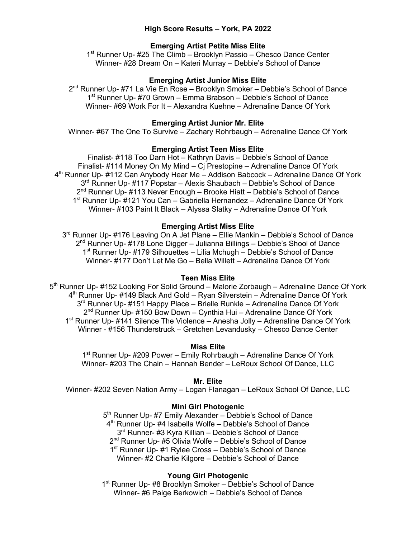## **High Score Results – York, PA 2022**

## **Emerging Artist Petite Miss Elite**

1<sup>st</sup> Runner Up- #25 The Climb – Brooklyn Passio – Chesco Dance Center Winner- #28 Dream On – Kateri Murray – Debbie's School of Dance

### **Emerging Artist Junior Miss Elite**

2<sup>nd</sup> Runner Up- #71 La Vie En Rose – Brooklyn Smoker – Debbie's School of Dance 1st Runner Up- #70 Grown – Emma Brabson – Debbie's School of Dance Winner- #69 Work For It – Alexandra Kuehne – Adrenaline Dance Of York

#### **Emerging Artist Junior Mr. Elite**

Winner- #67 The One To Survive – Zachary Rohrbaugh – Adrenaline Dance Of York

#### **Emerging Artist Teen Miss Elite**

Finalist- #118 Too Darn Hot – Kathryn Davis – Debbie's School of Dance Finalist- #114 Money On My Mind – Cj Prestopine – Adrenaline Dance Of York  $4<sup>th</sup>$  Runner Up- #112 Can Anybody Hear Me – Addison Babcock – Adrenaline Dance Of York 3<sup>rd</sup> Runner Up- #117 Popstar – Alexis Shaubach – Debbie's School of Dance 2<sup>nd</sup> Runner Up- #113 Never Enough – Brooke Hiatt – Debbie's School of Dance 1<sup>st</sup> Runner Up- #121 You Can – Gabriella Hernandez – Adrenaline Dance Of York Winner- #103 Paint It Black – Alyssa Slatky – Adrenaline Dance Of York

#### **Emerging Artist Miss Elite**

3<sup>rd</sup> Runner Up- #176 Leaving On A Jet Plane – Ellie Mankin – Debbie's School of Dance  $2<sup>nd</sup>$  Runner Up- #178 Lone Digger – Julianna Billings – Debbie's Shool of Dance 1st Runner Up- #179 Silhouettes – Lilia Mchugh – Debbie's School of Dance Winner- #177 Don't Let Me Go – Bella Willett – Adrenaline Dance Of York

#### **Teen Miss Elite**

5<sup>th</sup> Runner Up- #152 Looking For Solid Ground – Malorie Zorbaugh – Adrenaline Dance Of York 4<sup>th</sup> Runner Up- #149 Black And Gold – Ryan Silverstein – Adrenaline Dance Of York 3<sup>rd</sup> Runner Up- #151 Happy Place – Brielle Runkle – Adrenaline Dance Of York  $2<sup>nd</sup>$  Runner Up- #150 Bow Down – Cynthia Hui – Adrenaline Dance Of York 1<sup>st</sup> Runner Up- #141 Silence The Violence – Anesha Jolly – Adrenaline Dance Of York Winner - #156 Thunderstruck – Gretchen Levandusky – Chesco Dance Center

### **Miss Elite**

1<sup>st</sup> Runner Up- #209 Power – Emily Rohrbaugh – Adrenaline Dance Of York Winner- #203 The Chain – Hannah Bender – LeRoux School Of Dance, LLC

#### **Mr. Elite**

Winner- #202 Seven Nation Army – Logan Flanagan – LeRoux School Of Dance, LLC

### **Mini Girl Photogenic**

5<sup>th</sup> Runner Up- #7 Emily Alexander – Debbie's School of Dance 4<sup>th</sup> Runner Up- #4 Isabella Wolfe – Debbie's School of Dance 3<sup>rd</sup> Runner- #3 Kyra Killian – Debbie's School of Dance 2<sup>nd</sup> Runner Up- #5 Olivia Wolfe – Debbie's School of Dance 1<sup>st</sup> Runner Up- #1 Rylee Cross - Debbie's School of Dance Winner- #2 Charlie Kilgore – Debbie's School of Dance

#### **Young Girl Photogenic**

1<sup>st</sup> Runner Up- #8 Brooklyn Smoker - Debbie's School of Dance Winner- #6 Paige Berkowich – Debbie's School of Dance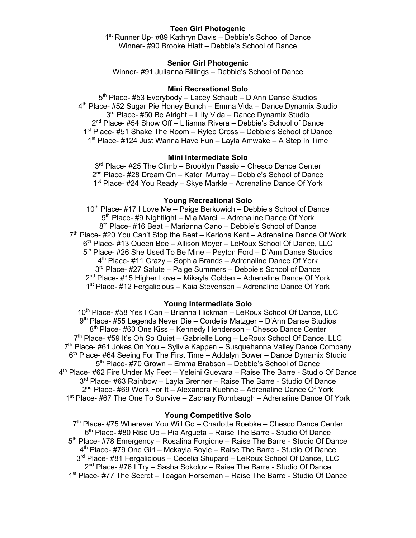## **Teen Girl Photogenic**

1<sup>st</sup> Runner Up- #89 Kathryn Davis – Debbie's School of Dance Winner- #90 Brooke Hiatt – Debbie's School of Dance

### **Senior Girl Photogenic**

Winner- #91 Julianna Billings – Debbie's School of Dance

#### **Mini Recreational Solo**

5<sup>th</sup> Place- #53 Everybody – Lacey Schaub – D'Ann Danse Studios 4th Place- #52 Sugar Pie Honey Bunch – Emma Vida – Dance Dynamix Studio 3<sup>rd</sup> Place- #50 Be Alright – Lilly Vida – Dance Dynamix Studio 2<sup>nd</sup> Place- #54 Show Off – Lilianna Rivera – Debbie's School of Dance 1<sup>st</sup> Place- #51 Shake The Room – Rylee Cross – Debbie's School of Dance 1st Place- #124 Just Wanna Have Fun – Layla Amwake – A Step In Time

#### **Mini Intermediate Solo**

3<sup>rd</sup> Place- #25 The Climb – Brooklyn Passio – Chesco Dance Center  $2<sup>nd</sup>$  Place- #28 Dream On – Kateri Murray – Debbie's School of Dance 1<sup>st</sup> Place- #24 You Ready – Skye Markle – Adrenaline Dance Of York

#### **Young Recreational Solo**

10<sup>th</sup> Place- #17 I Love Me – Paige Berkowich – Debbie's School of Dance 9th Place- #9 Nightlight – Mia Marcil – Adrenaline Dance Of York 8th Place- #16 Beat – Marianna Cano – Debbie's School of Dance  $7<sup>th</sup>$  Place- #20 You Can't Stop the Beat – Keriona Kent – Adrenaline Dance Of Work 6th Place- #13 Queen Bee – Allison Moyer – LeRoux School Of Dance, LLC 5<sup>th</sup> Place- #26 She Used To Be Mine – Peyton Ford – D'Ann Danse Studios  $4<sup>th</sup>$  Place- #11 Crazy – Sophia Brands – Adrenaline Dance Of York 3<sup>rd</sup> Place- #27 Salute – Paige Summers – Debbie's School of Dance  $2<sup>nd</sup>$  Place- #15 Higher Love – Mikayla Golden – Adrenaline Dance Of York 1<sup>st</sup> Place- #12 Fergalicious – Kaia Stevenson – Adrenaline Dance Of York

#### **Young Intermediate Solo**

10<sup>th</sup> Place- #58 Yes I Can - Brianna Hickman - LeRoux School Of Dance, LLC 9th Place- #55 Legends Never Die – Cordelia Matzger – D'Ann Danse Studios 8th Place- #60 One Kiss – Kennedy Henderson – Chesco Dance Center 7<sup>th</sup> Place- #59 It's Oh So Quiet – Gabrielle Long – LeRoux School Of Dance, LLC  $7<sup>th</sup>$  Place- #61 Jokes On You – Sylivia Kappen – Susquehanna Valley Dance Company 6<sup>th</sup> Place- #64 Seeing For The First Time – Addalyn Bower – Dance Dynamix Studio 5<sup>th</sup> Place- #70 Grown – Emma Brabson – Debbie's School of Dance  $4<sup>th</sup>$  Place- #62 Fire Under My Feet – Yeleini Guevara – Raise The Barre - Studio Of Dance 3<sup>rd</sup> Place- #63 Rainbow – Layla Brenner – Raise The Barre - Studio Of Dance  $2<sup>nd</sup>$  Place- #69 Work For It – Alexandra Kuehne – Adrenaline Dance Of York 1st Place- #67 The One To Survive – Zachary Rohrbaugh – Adrenaline Dance Of York

### **Young Competitive Solo**

7<sup>th</sup> Place- #75 Wherever You Will Go – Charlotte Roebke – Chesco Dance Center  $6<sup>th</sup>$  Place- #80 Rise Up – Pia Arqueta – Raise The Barre - Studio Of Dance 5th Place- #78 Emergency – Rosalina Forgione – Raise The Barre - Studio Of Dance 4th Place- #79 One Girl – Mckayla Boyle – Raise The Barre - Studio Of Dance 3<sup>rd</sup> Place- #81 Fergalicious – Cecelia Shupard – LeRoux School Of Dance, LLC 2<sup>nd</sup> Place- #76 I Try - Sasha Sokolov - Raise The Barre - Studio Of Dance 1<sup>st</sup> Place- #77 The Secret – Teagan Horseman – Raise The Barre - Studio Of Dance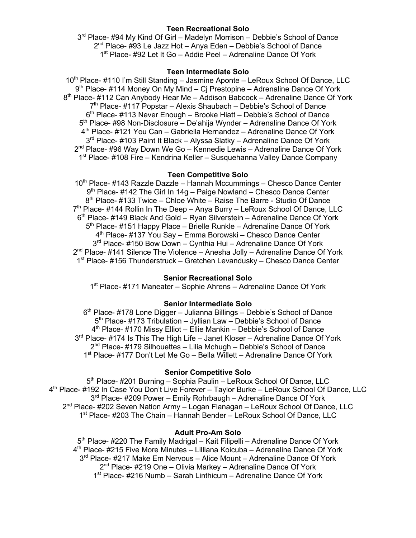## **Teen Recreational Solo**

3rd Place- #94 My Kind Of Girl – Madelyn Morrison – Debbie's School of Dance  $2<sup>nd</sup>$  Place- #93 Le Jazz Hot – Anya Eden – Debbie's School of Dance 1<sup>st</sup> Place- #92 Let It Go – Addie Peel – Adrenaline Dance Of York

## **Teen Intermediate Solo**

10<sup>th</sup> Place- #110 I'm Still Standing – Jasmine Aponte – LeRoux School Of Dance, LLC 9<sup>th</sup> Place- #114 Money On My Mind – Cj Prestopine – Adrenaline Dance Of York 8<sup>th</sup> Place- #112 Can Anybody Hear Me - Addison Babcock - Adrenaline Dance Of York  $7<sup>th</sup>$  Place- #117 Popstar – Alexis Shaubach – Debbie's School of Dance  $6<sup>th</sup>$  Place- #113 Never Enough – Brooke Hiatt – Debbie's School of Dance 5th Place- #98 Non-Disclosure – De'ahija Wynder – Adrenaline Dance Of York 4th Place- #121 You Can – Gabriella Hernandez – Adrenaline Dance Of York 3<sup>rd</sup> Place- #103 Paint It Black – Alyssa Slatky – Adrenaline Dance Of York  $2<sup>nd</sup>$  Place- #96 Way Down We Go – Kennedie Lewis – Adrenaline Dance Of York 1st Place- #108 Fire – Kendrina Keller – Susquehanna Valley Dance Company

## **Teen Competitive Solo**

10<sup>th</sup> Place- #143 Razzle Dazzle – Hannah Mccummings – Chesco Dance Center  $9<sup>th</sup>$  Place- #142 The Girl In 14g – Paige Nowland – Chesco Dance Center 8<sup>th</sup> Place- #133 Twice – Chloe White – Raise The Barre - Studio Of Dance 7<sup>th</sup> Place- #144 Rollin In The Deep – Anya Burry – LeRoux School Of Dance, LLC 6<sup>th</sup> Place- #149 Black And Gold – Ryan Silverstein – Adrenaline Dance Of York  $5<sup>th</sup>$  Place- #151 Happy Place – Brielle Runkle – Adrenaline Dance Of York 4<sup>th</sup> Place- #137 You Say – Emma Borowski – Chesco Dance Center 3<sup>rd</sup> Place- #150 Bow Down – Cynthia Hui – Adrenaline Dance Of York  $2<sup>nd</sup>$  Place- #141 Silence The Violence – Anesha Jolly – Adrenaline Dance Of York 1st Place- #156 Thunderstruck – Gretchen Levandusky – Chesco Dance Center

# **Senior Recreational Solo**

1st Place- #171 Maneater – Sophie Ahrens – Adrenaline Dance Of York

### **Senior Intermediate Solo**

 $6<sup>th</sup>$  Place- #178 Lone Digger – Julianna Billings – Debbie's School of Dance 5<sup>th</sup> Place- #173 Tribulation – Jyllian Law – Debbie's School of Dance 4th Place- #170 Missy Elliot – Ellie Mankin – Debbie's School of Dance 3<sup>rd</sup> Place- #174 Is This The High Life – Janet Kloser – Adrenaline Dance Of York  $2^{nd}$  Place- #179 Silhouettes – Lilia Mchugh – Debbie's School of Dance 1<sup>st</sup> Place- #177 Don't Let Me Go - Bella Willett - Adrenaline Dance Of York

### **Senior Competitive Solo**

5<sup>th</sup> Place- #201 Burning - Sophia Paulin - LeRoux School Of Dance, LLC 4th Place- #192 In Case You Don't Live Forever – Taylor Burke – LeRoux School Of Dance, LLC 3<sup>rd</sup> Place- #209 Power – Emily Rohrbaugh – Adrenaline Dance Of York 2<sup>nd</sup> Place- #202 Seven Nation Army - Logan Flanagan - LeRoux School Of Dance, LLC 1st Place- #203 The Chain – Hannah Bender – LeRoux School Of Dance, LLC

### **Adult Pro-Am Solo**

5<sup>th</sup> Place- #220 The Family Madrigal – Kait Filipelli – Adrenaline Dance Of York 4th Place- #215 Five More Minutes – Lilliana Koicuba – Adrenaline Dance Of York 3<sup>rd</sup> Place- #217 Make Em Nervous – Alice Mount – Adrenaline Dance Of York 2<sup>nd</sup> Place- #219 One – Olivia Markey – Adrenaline Dance Of York 1<sup>st</sup> Place- #216 Numb – Sarah Linthicum – Adrenaline Dance Of York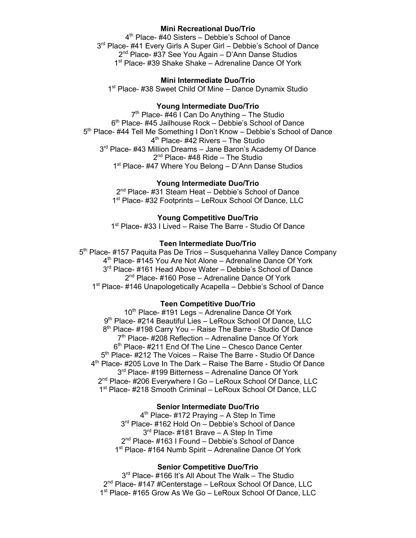### **Mini Recreational Duo/Trio**

4<sup>th</sup> Place- #40 Sisters - Debbie's School of Dance 3<sup>rd</sup> Place- #41 Every Girls A Super Girl – Debbie's School of Dance 2<sup>nd</sup> Place- #37 See You Again – D'Ann Danse Studios 1st Place- #39 Shake Shake – Adrenaline Dance Of York

### **Mini Intermediate Duo/Trio**

1<sup>st</sup> Place- #38 Sweet Child Of Mine - Dance Dynamix Studio

### **Young Intermediate Duo/Trio**

 $7<sup>th</sup>$  Place- #46 I Can Do Anything – The Studio 6<sup>th</sup> Place- #45 Jailhouse Rock – Debbie's School of Dance 5th Place- #44 Tell Me Something I Don't Know – Debbie's School of Dance 4<sup>th</sup> Place- #42 Rivers - The Studio 3<sup>rd</sup> Place- #43 Million Dreams - Jane Baron's Academy Of Dance  $2<sup>nd</sup>$  Place- #48 Ride – The Studio 1<sup>st</sup> Place- #47 Where You Belong – D'Ann Danse Studios

## **Young Intermediate Duo/Trio**

2<sup>nd</sup> Place- #31 Steam Heat – Debbie's School of Dance 1<sup>st</sup> Place- #32 Footprints – LeRoux School Of Dance, LLC

# **Young Competitive Duo/Trio**

1<sup>st</sup> Place- #33 I Lived – Raise The Barre - Studio Of Dance

## **Teen Intermediate Duo/Trio**

5<sup>th</sup> Place- #157 Paquita Pas De Trios – Susquehanna Valley Dance Company 4<sup>th</sup> Place- #145 You Are Not Alone – Adrenaline Dance Of York 3<sup>rd</sup> Place- #161 Head Above Water – Debbie's School of Dance 2<sup>nd</sup> Place- #160 Pose – Adrenaline Dance Of York 1<sup>st</sup> Place- #146 Unapologetically Acapella – Debbie's School of Dance

### **Teen Competitive Duo/Trio**

 $10<sup>th</sup>$  Place- #191 Legs – Adrenaline Dance Of York 9<sup>th</sup> Place- #214 Beautiful Lies – LeRoux School Of Dance, LLC 8<sup>th</sup> Place- #198 Carry You – Raise The Barre - Studio Of Dance  $7<sup>th</sup>$  Place- #208 Reflection – Adrenaline Dance Of York  $6<sup>th</sup>$  Place- #211 End Of The Line – Chesco Dance Center 5<sup>th</sup> Place- #212 The Voices - Raise The Barre - Studio Of Dance 4<sup>th</sup> Place- #205 Love In The Dark – Raise The Barre - Studio Of Dance 3<sup>rd</sup> Place- #199 Bitterness – Adrenaline Dance Of York 2<sup>nd</sup> Place- #206 Everywhere I Go - LeRoux School Of Dance, LLC 1<sup>st</sup> Place- #218 Smooth Criminal – LeRoux School Of Dance, LLC

### **Senior Intermediate Duo/Trio**

4<sup>th</sup> Place- #172 Praying - A Step In Time 3<sup>rd</sup> Place- #162 Hold On – Debbie's School of Dance 3<sup>rd</sup> Place- #181 Brave – A Step In Time 2<sup>nd</sup> Place- #163 I Found – Debbie's School of Dance 1<sup>st</sup> Place- #164 Numb Spirit – Adrenaline Dance Of York

### **Senior Competitive Duo/Trio**

3<sup>rd</sup> Place- #166 It's All About The Walk – The Studio 2<sup>nd</sup> Place- #147 #Centerstage – LeRoux School Of Dance, LLC 1<sup>st</sup> Place- #165 Grow As We Go - LeRoux School Of Dance, LLC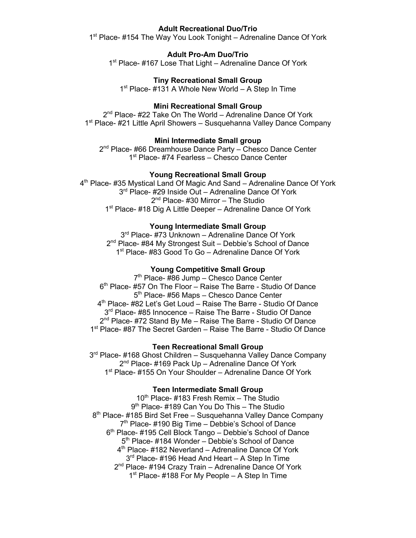### **Adult Recreational Duo/Trio**

1<sup>st</sup> Place- #154 The Way You Look Tonight – Adrenaline Dance Of York

### **Adult Pro-Am Duo/Trio**

1<sup>st</sup> Place- #167 Lose That Light – Adrenaline Dance Of York

#### **Tiny Recreational Small Group**

 $1<sup>st</sup>$  Place- #131 A Whole New World – A Step In Time

## **Mini Recreational Small Group**

2<sup>nd</sup> Place- #22 Take On The World – Adrenaline Dance Of York 1<sup>st</sup> Place- #21 Little April Showers – Susquehanna Valley Dance Company

### **Mini Intermediate Small group**

2<sup>nd</sup> Place- #66 Dreamhouse Dance Party - Chesco Dance Center 1<sup>st</sup> Place- #74 Fearless – Chesco Dance Center

#### **Young Recreational Small Group**

4<sup>th</sup> Place- #35 Mystical Land Of Magic And Sand – Adrenaline Dance Of York 3<sup>rd</sup> Place- #29 Inside Out – Adrenaline Dance Of York  $2<sup>nd</sup>$  Place- #30 Mirror – The Studio 1<sup>st</sup> Place- #18 Dig A Little Deeper – Adrenaline Dance Of York

#### **Young Intermediate Small Group**

3<sup>rd</sup> Place- #73 Unknown – Adrenaline Dance Of York 2<sup>nd</sup> Place- #84 My Strongest Suit – Debbie's School of Dance 1<sup>st</sup> Place- #83 Good To Go – Adrenaline Dance Of York

### **Young Competitive Small Group**

7<sup>th</sup> Place- #86 Jump – Chesco Dance Center 6<sup>th</sup> Place- #57 On The Floor – Raise The Barre - Studio Of Dance 5<sup>th</sup> Place- #56 Maps – Chesco Dance Center 4<sup>th</sup> Place- #82 Let's Get Loud – Raise The Barre - Studio Of Dance 3<sup>rd</sup> Place- #85 Innocence – Raise The Barre - Studio Of Dance 2<sup>nd</sup> Place- #72 Stand By Me – Raise The Barre - Studio Of Dance 1<sup>st</sup> Place- #87 The Secret Garden – Raise The Barre - Studio Of Dance

#### **Teen Recreational Small Group**

3<sup>rd</sup> Place- #168 Ghost Children – Susquehanna Valley Dance Company 2<sup>nd</sup> Place- #169 Pack Up – Adrenaline Dance Of York 1<sup>st</sup> Place- #155 On Your Shoulder – Adrenaline Dance Of York

#### **Teen Intermediate Small Group**

 $10<sup>th</sup>$  Place- #183 Fresh Remix – The Studio 9<sup>th</sup> Place- #189 Can You Do This – The Studio 8<sup>th</sup> Place- #185 Bird Set Free – Susquehanna Valley Dance Company 7<sup>th</sup> Place- #190 Big Time – Debbie's School of Dance 6<sup>th</sup> Place- #195 Cell Block Tango – Debbie's School of Dance 5<sup>th</sup> Place- #184 Wonder – Debbie's School of Dance 4th Place- #182 Neverland – Adrenaline Dance Of York 3<sup>rd</sup> Place- #196 Head And Heart – A Step In Time 2<sup>nd</sup> Place- #194 Crazy Train – Adrenaline Dance Of York  $1<sup>st</sup>$  Place- #188 For My People – A Step In Time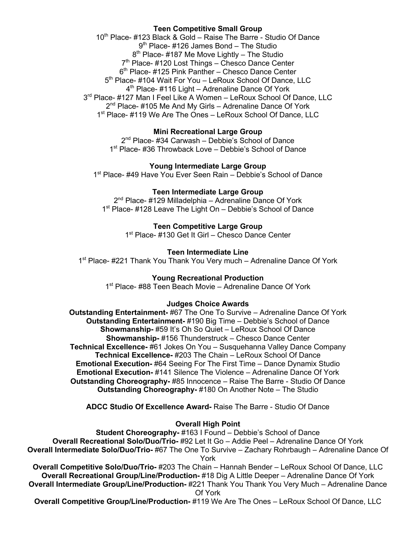# **Teen Competitive Small Group**

10<sup>th</sup> Place- #123 Black & Gold – Raise The Barre - Studio Of Dance 9<sup>th</sup> Place- #126 James Bond – The Studio  $8<sup>th</sup>$  Place- #187 Me Move Lightly – The Studio  $7<sup>th</sup>$  Place- #120 Lost Things – Chesco Dance Center 6<sup>th</sup> Place- #125 Pink Panther – Chesco Dance Center 5<sup>th</sup> Place- #104 Wait For You – LeRoux School Of Dance, LLC  $4<sup>th</sup>$  Place- #116 Light – Adrenaline Dance Of York 3rd Place- #127 Man I Feel Like A Women - LeRoux School Of Dance, LLC 2<sup>nd</sup> Place- #105 Me And My Girls – Adrenaline Dance Of York 1<sup>st</sup> Place- #119 We Are The Ones - LeRoux School Of Dance, LLC

# **Mini Recreational Large Group**

2<sup>nd</sup> Place- #34 Carwash – Debbie's School of Dance 1<sup>st</sup> Place- #36 Throwback Love – Debbie's School of Dance

**Young Intermediate Large Group** 1<sup>st</sup> Place- #49 Have You Ever Seen Rain – Debbie's School of Dance

**Teen Intermediate Large Group**

2<sup>nd</sup> Place- #129 Milladelphia – Adrenaline Dance Of York 1<sup>st</sup> Place- #128 Leave The Light On – Debbie's School of Dance

> **Teen Competitive Large Group** 1<sup>st</sup> Place- #130 Get It Girl – Chesco Dance Center

### **Teen Intermediate Line**

1<sup>st</sup> Place- #221 Thank You Thank You Very much – Adrenaline Dance Of York

### **Young Recreational Production**

1<sup>st</sup> Place- #88 Teen Beach Movie – Adrenaline Dance Of York

### **Judges Choice Awards**

**Outstanding Entertainment-** #67 The One To Survive – Adrenaline Dance Of York **Outstanding Entertainment-** #190 Big Time – Debbie's School of Dance **Showmanship-** #59 It's Oh So Quiet – LeRoux School Of Dance **Showmanship-** #156 Thunderstruck – Chesco Dance Center **Technical Excellence-** #61 Jokes On You – Susquehanna Valley Dance Company **Technical Excellence-** #203 The Chain – LeRoux School Of Dance **Emotional Execution-** #64 Seeing For The First Time – Dance Dynamix Studio **Emotional Execution-** #141 Silence The Violence – Adrenaline Dance Of York **Outstanding Choreography-** #85 Innocence – Raise The Barre - Studio Of Dance **Outstanding Choreography-** #180 On Another Note – The Studio

**ADCC Studio Of Excellence Award-** Raise The Barre - Studio Of Dance

## **Overall High Point**

**Student Choreography-** #163 I Found – Debbie's School of Dance **Overall Recreational Solo/Duo/Trio-** #92 Let It Go – Addie Peel – Adrenaline Dance Of York **Overall Intermediate Solo/Duo/Trio-** #67 The One To Survive – Zachary Rohrbaugh – Adrenaline Dance Of York

**Overall Competitive Solo/Duo/Trio-** #203 The Chain – Hannah Bender – LeRoux School Of Dance, LLC **Overall Recreational Group/Line/Production-** #18 Dig A Little Deeper – Adrenaline Dance Of York **Overall Intermediate Group/Line/Production-** #221 Thank You Thank You Very Much – Adrenaline Dance Of York

**Overall Competitive Group/Line/Production-** #119 We Are The Ones – LeRoux School Of Dance, LLC